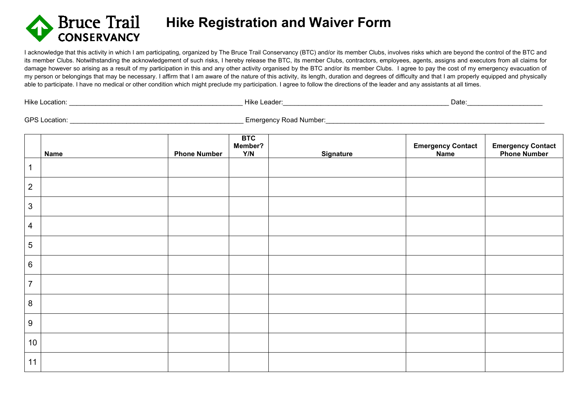

 **Hike Registration and Waiver Form**

I acknowledge that this activity in which I am participating, organized by The Bruce Trail Conservancy (BTC) and/or its member Clubs, involves risks which are beyond the control of the BTC and its member Clubs. Notwithstanding the acknowledgement of such risks, I hereby release the BTC, its member Clubs, contractors, employees, agents, assigns and executors from all claims for damage however so arising as a result of my participation in this and any other activity organised by the BTC and/or its member Clubs. I agree to pay the cost of my emergency evacuation of my person or belongings that may be necessary. I affirm that I am aware of the nature of this activity, its length, duration and degrees of difficulty and that I am properly equipped and physically able to participate. I have no medical or other condition which might preclude my participation. I agree to follow the directions of the leader and any assistants at all times.

| .<br>- -<br>Hike<br>осанс<br>. | .<br>eader<br>1ıkı<br>. |
|--------------------------------|-------------------------|
|--------------------------------|-------------------------|

Hike Location: \_\_\_\_\_\_\_\_\_\_\_\_\_\_\_\_\_\_\_\_\_\_\_\_\_\_\_\_\_\_\_\_\_\_\_\_\_\_\_\_\_\_\_\_\_\_ Hike Leader:\_\_\_\_\_\_\_\_\_\_\_\_\_\_\_\_\_\_\_\_\_\_\_\_\_\_\_\_\_\_\_\_\_\_\_\_\_\_\_\_\_\_\_\_ Date:\_\_\_\_\_\_\_\_\_\_\_\_\_\_\_\_\_\_\_\_

GPS Location: \_\_\_\_\_\_\_\_\_\_\_\_\_\_\_\_\_\_\_\_\_\_\_\_\_\_\_\_\_\_\_\_\_\_\_\_\_\_\_\_\_\_\_\_\_\_ Emergency Road Number:\_\_\_\_\_\_\_\_\_\_\_\_\_\_\_\_\_\_\_\_\_\_\_\_\_\_\_\_\_\_\_\_\_\_\_\_\_\_\_\_\_\_\_\_\_\_\_\_\_\_\_\_\_\_\_\_\_\_

|                  | <b>Name</b> | <b>Phone Number</b> | <b>BTC</b><br>Member?<br>Y/N | <b>Signature</b> | <b>Emergency Contact</b><br>Name | <b>Emergency Contact<br/>Phone Number</b> |
|------------------|-------------|---------------------|------------------------------|------------------|----------------------------------|-------------------------------------------|
|                  |             |                     |                              |                  |                                  |                                           |
| $\mathbf{2}$     |             |                     |                              |                  |                                  |                                           |
| $\mathfrak{S}$   |             |                     |                              |                  |                                  |                                           |
| $\overline{4}$   |             |                     |                              |                  |                                  |                                           |
| $\overline{5}$   |             |                     |                              |                  |                                  |                                           |
| $\,6\,$          |             |                     |                              |                  |                                  |                                           |
| $\overline{7}$   |             |                     |                              |                  |                                  |                                           |
| $\bf 8$          |             |                     |                              |                  |                                  |                                           |
| $\boldsymbol{9}$ |             |                     |                              |                  |                                  |                                           |
| 10               |             |                     |                              |                  |                                  |                                           |
| 11               |             |                     |                              |                  |                                  |                                           |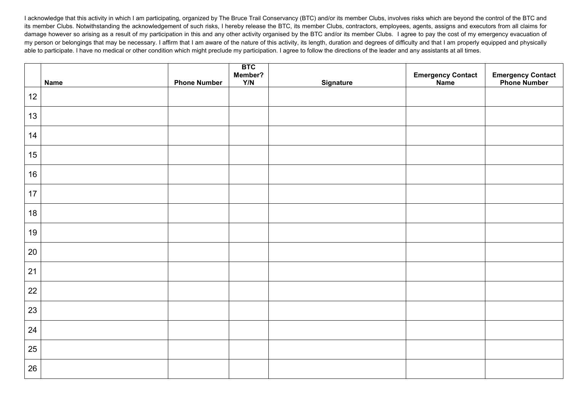I acknowledge that this activity in which I am participating, organized by The Bruce Trail Conservancy (BTC) and/or its member Clubs, involves risks which are beyond the control of the BTC and its member Clubs. Notwithstanding the acknowledgement of such risks, I hereby release the BTC, its member Clubs, contractors, employees, agents, assigns and executors from all claims for damage however so arising as a result of my participation in this and any other activity organised by the BTC and/or its member Clubs. I agree to pay the cost of my emergency evacuation of my person or belongings that may be necessary. I affirm that I am aware of the nature of this activity, its length, duration and degrees of difficulty and that I am properly equipped and physically able to participate. I have no medical or other condition which might preclude my participation. I agree to follow the directions of the leader and any assistants at all times.

|      | <b>Name</b> | <b>Phone Number</b> | <b>BTC</b><br>Member?<br>Y/N | <b>Signature</b> | Emergency Contact<br>Name | <b>Emergency Contact<br/>Phone Number</b> |
|------|-------------|---------------------|------------------------------|------------------|---------------------------|-------------------------------------------|
| $12$ |             |                     |                              |                  |                           |                                           |
| 13   |             |                     |                              |                  |                           |                                           |
| 14   |             |                     |                              |                  |                           |                                           |
| 15   |             |                     |                              |                  |                           |                                           |
| 16   |             |                     |                              |                  |                           |                                           |
| $17$ |             |                     |                              |                  |                           |                                           |
| 18   |             |                     |                              |                  |                           |                                           |
| 19   |             |                     |                              |                  |                           |                                           |
| 20   |             |                     |                              |                  |                           |                                           |
| 21   |             |                     |                              |                  |                           |                                           |
| 22   |             |                     |                              |                  |                           |                                           |
| 23   |             |                     |                              |                  |                           |                                           |
| 24   |             |                     |                              |                  |                           |                                           |
| 25   |             |                     |                              |                  |                           |                                           |
| 26   |             |                     |                              |                  |                           |                                           |